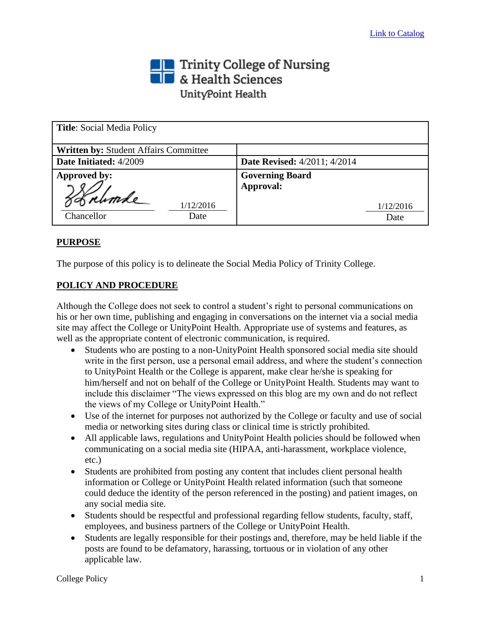## **The Trinity College of Nursing**<br>The & Health Sciences UnityPoint Health

| <b>Title:</b> Social Media Policy            |                                     |
|----------------------------------------------|-------------------------------------|
| <b>Written by: Student Affairs Committee</b> |                                     |
| Date Initiated: 4/2009                       | <b>Date Revised:</b> 4/2011; 4/2014 |
| Approved by:                                 | <b>Governing Board</b>              |
| sorumle<br>1/12/2016<br>Chancellor<br>Date   | Approval:<br>1/12/2016<br>Date      |

## **PURPOSE**

The purpose of this policy is to delineate the Social Media Policy of Trinity College.

## **POLICY AND PROCEDURE**

Although the College does not seek to control a student's right to personal communications on his or her own time, publishing and engaging in conversations on the internet via a social media site may affect the College or UnityPoint Health. Appropriate use of systems and features, as well as the appropriate content of electronic communication, is required.

- Students who are posting to a non-UnityPoint Health sponsored social media site should write in the first person, use a personal email address, and where the student's connection to UnityPoint Health or the College is apparent, make clear he/she is speaking for him/herself and not on behalf of the College or UnityPoint Health. Students may want to include this disclaimer "The views expressed on this blog are my own and do not reflect the views of my College or UnityPoint Health."
- Use of the internet for purposes not authorized by the College or faculty and use of social media or networking sites during class or clinical time is strictly prohibited.
- All applicable laws, regulations and UnityPoint Health policies should be followed when communicating on a social media site (HIPAA, anti-harassment, workplace violence, etc.)
- Students are prohibited from posting any content that includes client personal health information or College or UnityPoint Health related information (such that someone could deduce the identity of the person referenced in the posting) and patient images, on any social media site.
- Students should be respectful and professional regarding fellow students, faculty, staff, employees, and business partners of the College or UnityPoint Health.
- Students are legally responsible for their postings and, therefore, may be held liable if the posts are found to be defamatory, harassing, tortuous or in violation of any other applicable law.